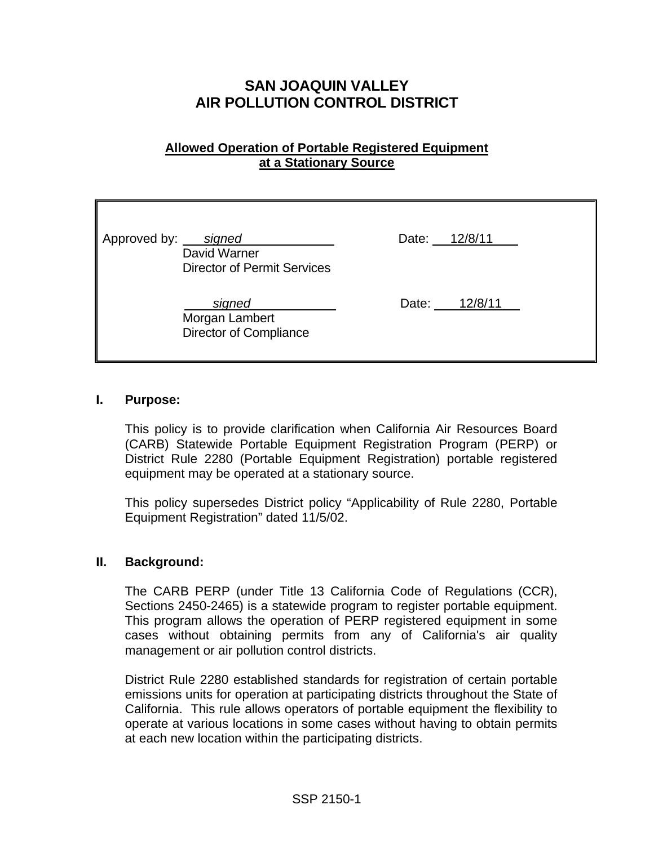# **SAN JOAQUIN VALLEY AIR POLLUTION CONTROL DISTRICT**

# **Allowed Operation of Portable Registered Equipment at a Stationary Source**

| Approved by: signed | David Warner<br><b>Director of Permit Services</b>        |  | Date: 12/8/11 |  |
|---------------------|-----------------------------------------------------------|--|---------------|--|
|                     | signed<br>Morgan Lambert<br><b>Director of Compliance</b> |  | Date: 12/8/11 |  |

#### **I. Purpose:**

This policy is to provide clarification when California Air Resources Board (CARB) Statewide Portable Equipment Registration Program (PERP) or District Rule 2280 (Portable Equipment Registration) portable registered equipment may be operated at a stationary source.

This policy supersedes District policy "Applicability of Rule 2280, Portable Equipment Registration" dated 11/5/02.

#### **II. Background:**

The CARB PERP (under Title 13 California Code of Regulations (CCR), Sections 2450-2465) is a statewide program to register portable equipment. This program allows the operation of PERP registered equipment in some cases without obtaining permits from any of California's air quality management or air pollution control districts.

District Rule 2280 established standards for registration of certain portable emissions units for operation at participating districts throughout the State of California. This rule allows operators of portable equipment the flexibility to operate at various locations in some cases without having to obtain permits at each new location within the participating districts.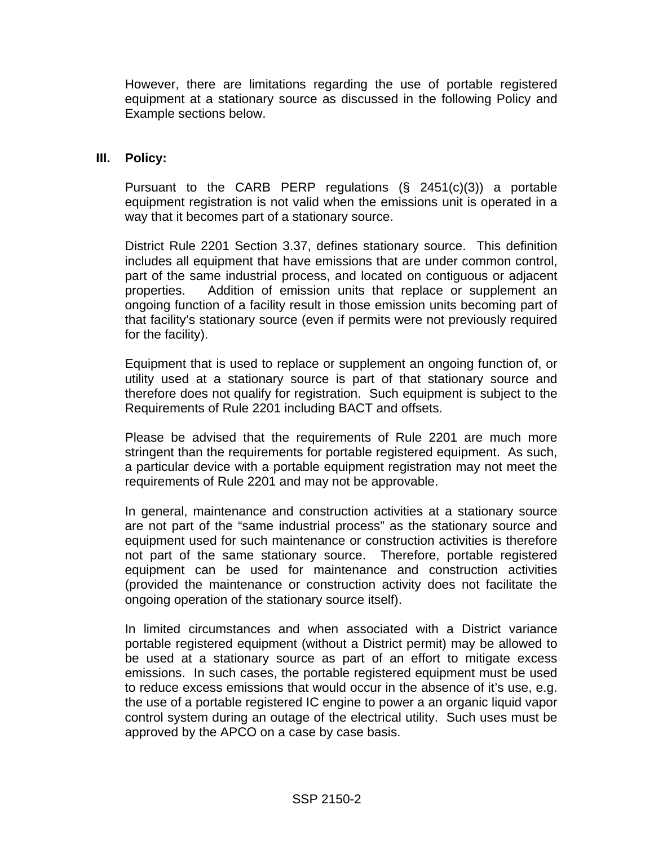However, there are limitations regarding the use of portable registered equipment at a stationary source as discussed in the following Policy and Example sections below.

## **III. Policy:**

Pursuant to the CARB PERP regulations (§ 2451(c)(3)) a portable equipment registration is not valid when the emissions unit is operated in a way that it becomes part of a stationary source.

District Rule 2201 Section 3.37, defines stationary source. This definition includes all equipment that have emissions that are under common control, part of the same industrial process, and located on contiguous or adjacent properties. Addition of emission units that replace or supplement an ongoing function of a facility result in those emission units becoming part of that facility's stationary source (even if permits were not previously required for the facility).

Equipment that is used to replace or supplement an ongoing function of, or utility used at a stationary source is part of that stationary source and therefore does not qualify for registration. Such equipment is subject to the Requirements of Rule 2201 including BACT and offsets.

Please be advised that the requirements of Rule 2201 are much more stringent than the requirements for portable registered equipment. As such, a particular device with a portable equipment registration may not meet the requirements of Rule 2201 and may not be approvable.

In general, maintenance and construction activities at a stationary source are not part of the "same industrial process" as the stationary source and equipment used for such maintenance or construction activities is therefore not part of the same stationary source. Therefore, portable registered equipment can be used for maintenance and construction activities (provided the maintenance or construction activity does not facilitate the ongoing operation of the stationary source itself).

In limited circumstances and when associated with a District variance portable registered equipment (without a District permit) may be allowed to be used at a stationary source as part of an effort to mitigate excess emissions. In such cases, the portable registered equipment must be used to reduce excess emissions that would occur in the absence of it's use, e.g. the use of a portable registered IC engine to power a an organic liquid vapor control system during an outage of the electrical utility. Such uses must be approved by the APCO on a case by case basis.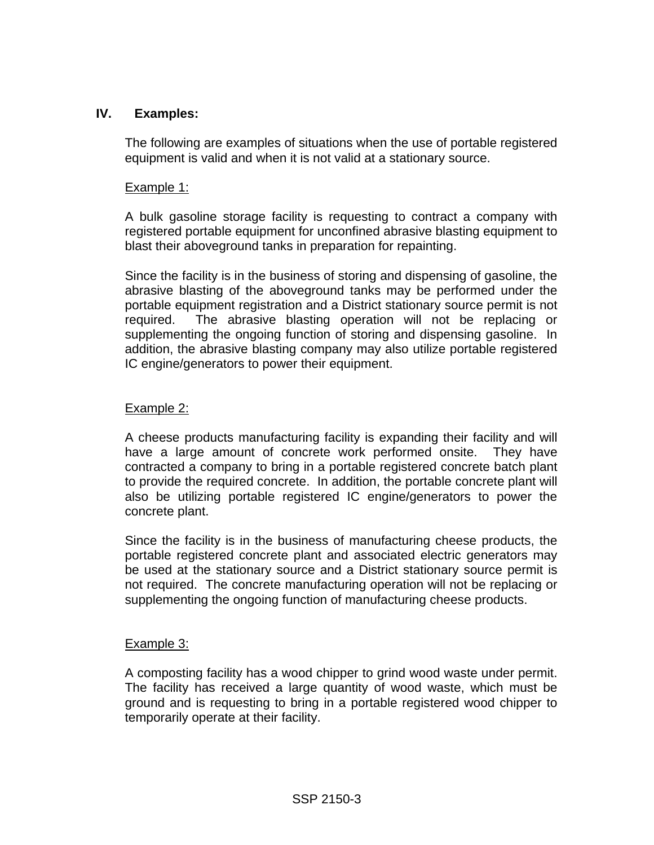# **IV. Examples:**

The following are examples of situations when the use of portable registered equipment is valid and when it is not valid at a stationary source.

## Example 1:

A bulk gasoline storage facility is requesting to contract a company with registered portable equipment for unconfined abrasive blasting equipment to blast their aboveground tanks in preparation for repainting.

Since the facility is in the business of storing and dispensing of gasoline, the abrasive blasting of the aboveground tanks may be performed under the portable equipment registration and a District stationary source permit is not required. The abrasive blasting operation will not be replacing or supplementing the ongoing function of storing and dispensing gasoline. In addition, the abrasive blasting company may also utilize portable registered IC engine/generators to power their equipment.

## Example 2:

A cheese products manufacturing facility is expanding their facility and will have a large amount of concrete work performed onsite. They have contracted a company to bring in a portable registered concrete batch plant to provide the required concrete. In addition, the portable concrete plant will also be utilizing portable registered IC engine/generators to power the concrete plant.

Since the facility is in the business of manufacturing cheese products, the portable registered concrete plant and associated electric generators may be used at the stationary source and a District stationary source permit is not required. The concrete manufacturing operation will not be replacing or supplementing the ongoing function of manufacturing cheese products.

#### Example 3:

A composting facility has a wood chipper to grind wood waste under permit. The facility has received a large quantity of wood waste, which must be ground and is requesting to bring in a portable registered wood chipper to temporarily operate at their facility.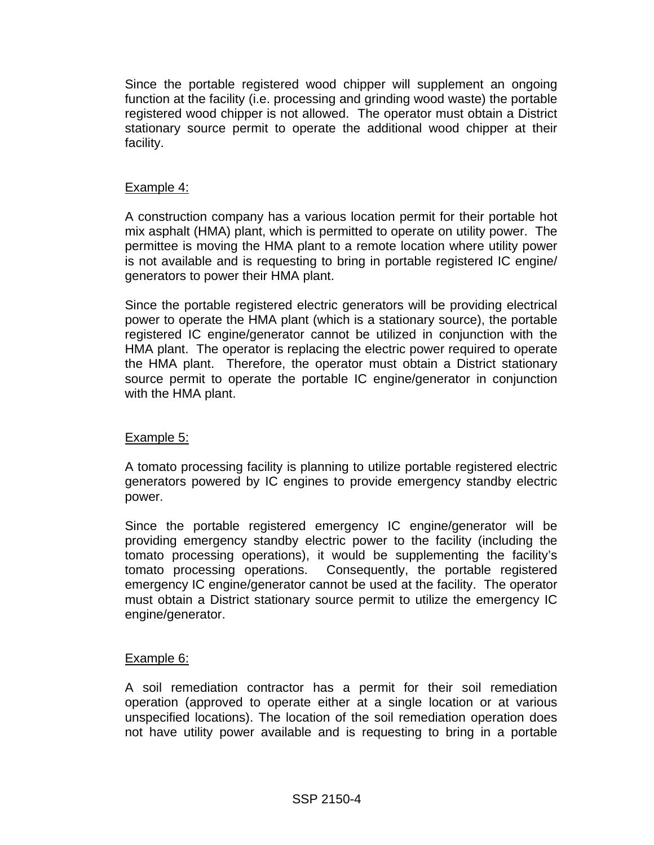Since the portable registered wood chipper will supplement an ongoing function at the facility (i.e. processing and grinding wood waste) the portable registered wood chipper is not allowed. The operator must obtain a District stationary source permit to operate the additional wood chipper at their facility.

## Example 4:

A construction company has a various location permit for their portable hot mix asphalt (HMA) plant, which is permitted to operate on utility power. The permittee is moving the HMA plant to a remote location where utility power is not available and is requesting to bring in portable registered IC engine/ generators to power their HMA plant.

Since the portable registered electric generators will be providing electrical power to operate the HMA plant (which is a stationary source), the portable registered IC engine/generator cannot be utilized in conjunction with the HMA plant. The operator is replacing the electric power required to operate the HMA plant. Therefore, the operator must obtain a District stationary source permit to operate the portable IC engine/generator in conjunction with the HMA plant.

## Example 5:

A tomato processing facility is planning to utilize portable registered electric generators powered by IC engines to provide emergency standby electric power.

Since the portable registered emergency IC engine/generator will be providing emergency standby electric power to the facility (including the tomato processing operations), it would be supplementing the facility's tomato processing operations. Consequently, the portable registered emergency IC engine/generator cannot be used at the facility. The operator must obtain a District stationary source permit to utilize the emergency IC engine/generator.

## Example 6:

A soil remediation contractor has a permit for their soil remediation operation (approved to operate either at a single location or at various unspecified locations). The location of the soil remediation operation does not have utility power available and is requesting to bring in a portable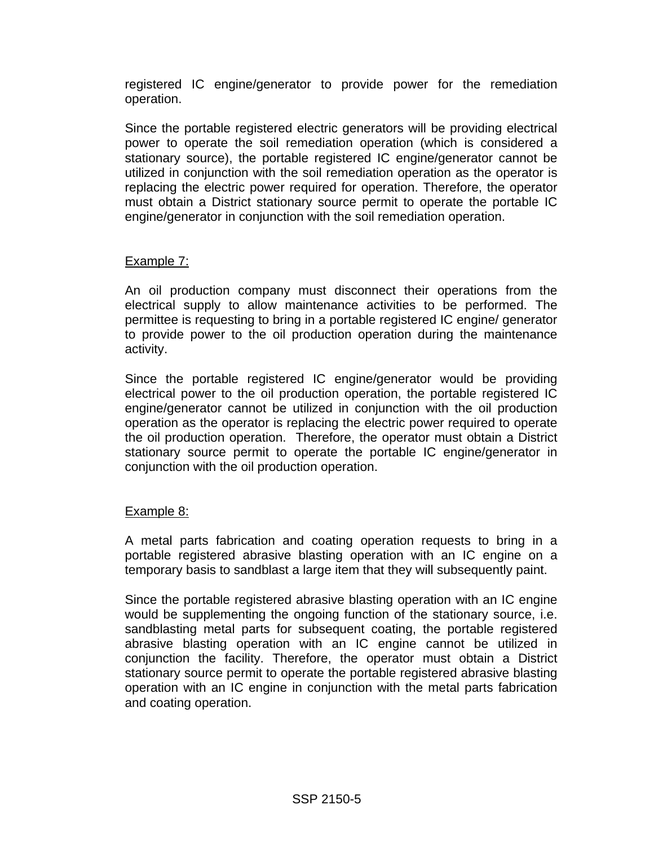registered IC engine/generator to provide power for the remediation operation.

Since the portable registered electric generators will be providing electrical power to operate the soil remediation operation (which is considered a stationary source), the portable registered IC engine/generator cannot be utilized in conjunction with the soil remediation operation as the operator is replacing the electric power required for operation. Therefore, the operator must obtain a District stationary source permit to operate the portable IC engine/generator in conjunction with the soil remediation operation.

# Example 7:

An oil production company must disconnect their operations from the electrical supply to allow maintenance activities to be performed. The permittee is requesting to bring in a portable registered IC engine/ generator to provide power to the oil production operation during the maintenance activity.

Since the portable registered IC engine/generator would be providing electrical power to the oil production operation, the portable registered IC engine/generator cannot be utilized in conjunction with the oil production operation as the operator is replacing the electric power required to operate the oil production operation. Therefore, the operator must obtain a District stationary source permit to operate the portable IC engine/generator in conjunction with the oil production operation.

# Example 8:

A metal parts fabrication and coating operation requests to bring in a portable registered abrasive blasting operation with an IC engine on a temporary basis to sandblast a large item that they will subsequently paint.

Since the portable registered abrasive blasting operation with an IC engine would be supplementing the ongoing function of the stationary source, i.e. sandblasting metal parts for subsequent coating, the portable registered abrasive blasting operation with an IC engine cannot be utilized in conjunction the facility. Therefore, the operator must obtain a District stationary source permit to operate the portable registered abrasive blasting operation with an IC engine in conjunction with the metal parts fabrication and coating operation.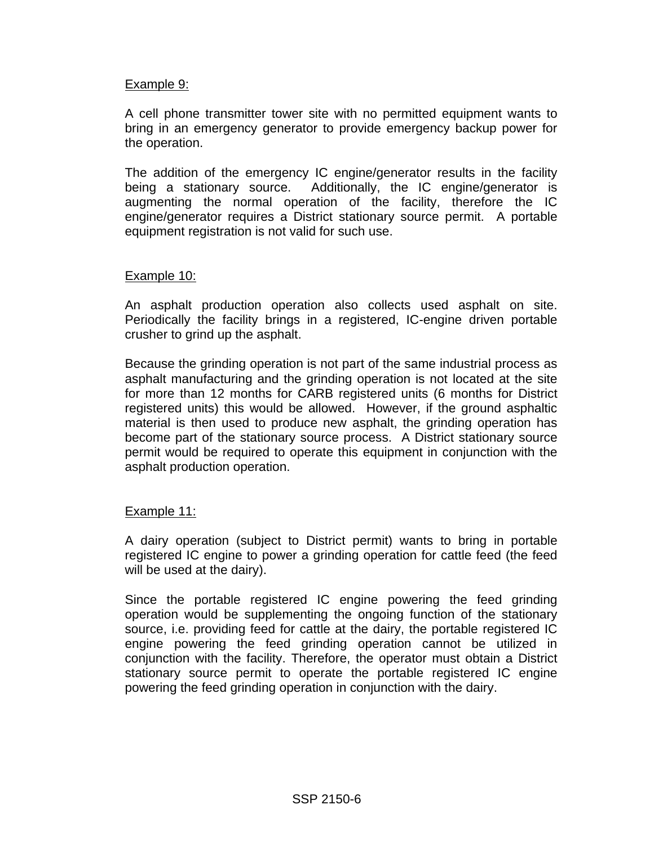## Example 9:

A cell phone transmitter tower site with no permitted equipment wants to bring in an emergency generator to provide emergency backup power for the operation.

The addition of the emergency IC engine/generator results in the facility being a stationary source. Additionally, the IC engine/generator is augmenting the normal operation of the facility, therefore the IC engine/generator requires a District stationary source permit. A portable equipment registration is not valid for such use.

#### Example 10:

An asphalt production operation also collects used asphalt on site. Periodically the facility brings in a registered, IC-engine driven portable crusher to grind up the asphalt.

Because the grinding operation is not part of the same industrial process as asphalt manufacturing and the grinding operation is not located at the site for more than 12 months for CARB registered units (6 months for District registered units) this would be allowed. However, if the ground asphaltic material is then used to produce new asphalt, the grinding operation has become part of the stationary source process. A District stationary source permit would be required to operate this equipment in conjunction with the asphalt production operation.

#### Example 11:

A dairy operation (subject to District permit) wants to bring in portable registered IC engine to power a grinding operation for cattle feed (the feed will be used at the dairy).

Since the portable registered IC engine powering the feed grinding operation would be supplementing the ongoing function of the stationary source, i.e. providing feed for cattle at the dairy, the portable registered IC engine powering the feed grinding operation cannot be utilized in conjunction with the facility. Therefore, the operator must obtain a District stationary source permit to operate the portable registered IC engine powering the feed grinding operation in conjunction with the dairy.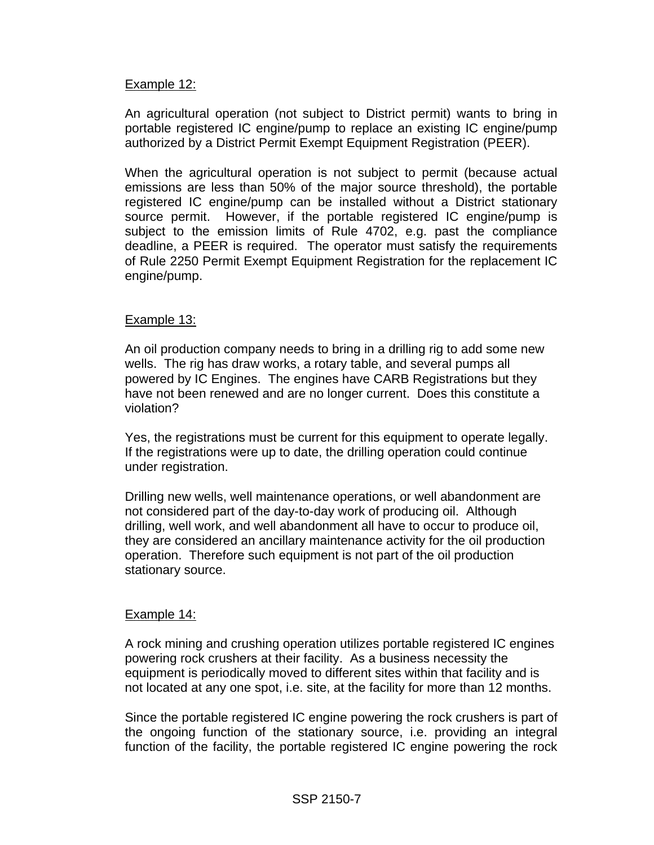## Example 12:

An agricultural operation (not subject to District permit) wants to bring in portable registered IC engine/pump to replace an existing IC engine/pump authorized by a District Permit Exempt Equipment Registration (PEER).

When the agricultural operation is not subject to permit (because actual emissions are less than 50% of the major source threshold), the portable registered IC engine/pump can be installed without a District stationary source permit. However, if the portable registered IC engine/pump is subject to the emission limits of Rule 4702, e.g. past the compliance deadline, a PEER is required. The operator must satisfy the requirements of Rule 2250 Permit Exempt Equipment Registration for the replacement IC engine/pump.

#### Example 13:

An oil production company needs to bring in a drilling rig to add some new wells. The rig has draw works, a rotary table, and several pumps all powered by IC Engines. The engines have CARB Registrations but they have not been renewed and are no longer current. Does this constitute a violation?

Yes, the registrations must be current for this equipment to operate legally. If the registrations were up to date, the drilling operation could continue under registration.

Drilling new wells, well maintenance operations, or well abandonment are not considered part of the day-to-day work of producing oil. Although drilling, well work, and well abandonment all have to occur to produce oil, they are considered an ancillary maintenance activity for the oil production operation. Therefore such equipment is not part of the oil production stationary source.

#### Example 14:

A rock mining and crushing operation utilizes portable registered IC engines powering rock crushers at their facility. As a business necessity the equipment is periodically moved to different sites within that facility and is not located at any one spot, i.e. site, at the facility for more than 12 months.

Since the portable registered IC engine powering the rock crushers is part of the ongoing function of the stationary source, i.e. providing an integral function of the facility, the portable registered IC engine powering the rock